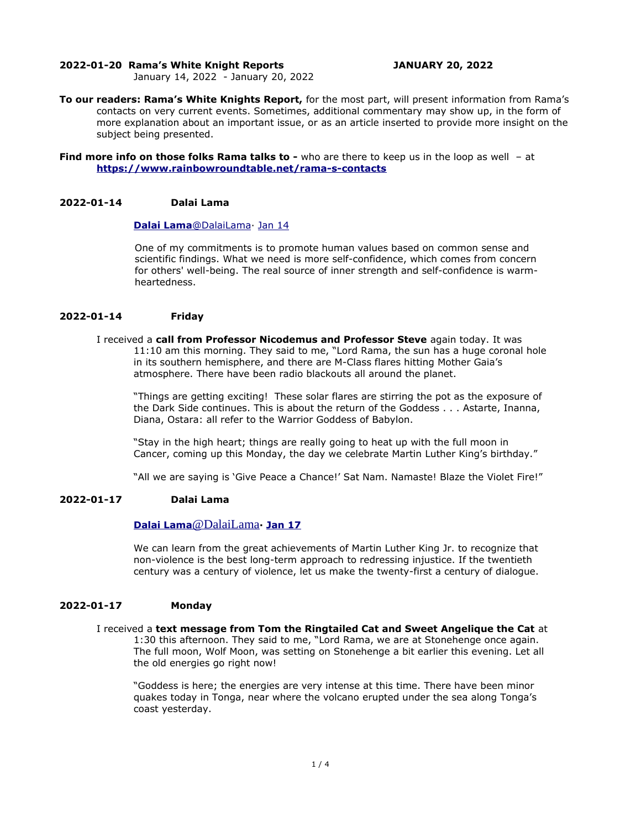#### **2022-01-20 Rama's White Knight Reports JANUARY 20, 2022**

January 14, 2022 - January 20, 2022

**To our readers: Rama's White Knights Report,** for the most part, will present information from Rama's contacts on very current events. Sometimes, additional commentary may show up, in the form of more explanation about an important issue, or as an article inserted to provide more insight on the subject being presented.

**Find more info on those folks Rama talks to -** who are there to keep us in the loop as well - at **<https://www.rainbowroundtable.net/rama-s-contacts>**

#### **2022-01-14 Dalai Lama**

## **[Dalai](https://twitter.com/DalaiLama) [Lama](mailto:Lama@DalaiLama)** [@DalaiLama](mailto:Lama@DalaiLama)· [Jan 14](https://twitter.com/DalaiLama/status/1481921559157944320)

One of my commitments is to promote human values based on common sense and scientific findings. What we need is more self-confidence, which comes from concern for others' well-being. The real source of inner strength and self-confidence is warmheartedness.

# **2022-01-14 Friday**

I received a **call from Professor Nicodemus and Professor Steve** again today. It was 11:10 am this morning. They said to me, "Lord Rama, the sun has a huge coronal hole in its southern hemisphere, and there are M-Class flares hitting Mother Gaia's atmosphere. There have been radio blackouts all around the planet.

"Things are getting exciting! These solar flares are stirring the pot as the exposure of the Dark Side continues. This is about the return of the Goddess . . . Astarte, Inanna, Diana, Ostara: all refer to the Warrior Goddess of Babylon.

"Stay in the high heart; things are really going to heat up with the full moon in Cancer, coming up this Monday, the day we celebrate Martin Luther King's birthday."

"All we are saying is 'Give Peace a Chance!' Sat Nam. Namaste! Blaze the Violet Fire!"

## **2022-01-17 Dalai Lama**

## **[Dalai](https://twitter.com/DalaiLama) [Lama](mailto:Lama@DalaiLama)** [@DalaiLama](mailto:Lama@DalaiLama)**· [Jan](https://twitter.com/DalaiLama/status/1481921559157944320) [17](https://twitter.com/DalaiLama/status/1483008741725196290)**

We can learn from the great achievements of Martin Luther King Jr. to recognize that non-violence is the best long-term approach to redressing injustice. If the twentieth century was a century of violence, let us make the twenty-first a century of dialogue.

#### **2022-01-17 Monday**

I received a **text message from Tom the Ringtailed Cat and Sweet Angelique the Cat** at 1:30 this afternoon. They said to me, "Lord Rama, we are at Stonehenge once again. The full moon, Wolf Moon, was setting on Stonehenge a bit earlier this evening. Let all the old energies go right now!

"Goddess is here; the energies are very intense at this time. There have been minor quakes today in Tonga, near where the volcano erupted under the sea along Tonga's coast yesterday.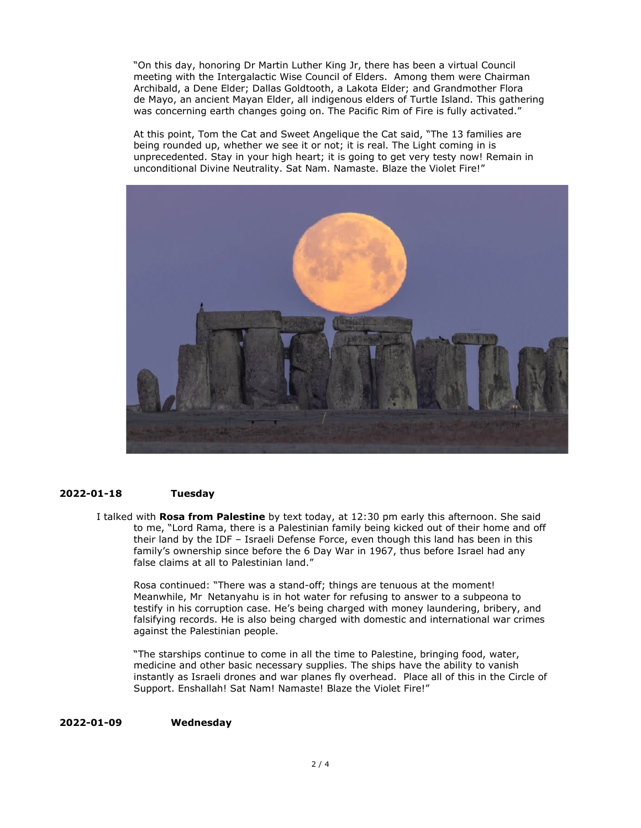"On this day, honoring Dr Martin Luther King Jr, there has been a virtual Council meeting with the Intergalactic Wise Council of Elders. Among them were Chairman Archibald, a Dene Elder; Dallas Goldtooth, a Lakota Elder; and Grandmother Flora de Mayo, an ancient Mayan Elder, all indigenous elders of Turtle Island. This gathering was concerning earth changes going on. The Pacific Rim of Fire is fully activated."

At this point, Tom the Cat and Sweet Angelique the Cat said, "The 13 families are being rounded up, whether we see it or not; it is real. The Light coming in is unprecedented. Stay in your high heart; it is going to get very testy now! Remain in unconditional Divine Neutrality. Sat Nam. Namaste. Blaze the Violet Fire!"



### **2022-01-18 Tuesday**

I talked with **Rosa from Palestine** by text today, at 12:30 pm early this afternoon. She said to me, "Lord Rama, there is a Palestinian family being kicked out of their home and off their land by the IDF – Israeli Defense Force, even though this land has been in this family's ownership since before the 6 Day War in 1967, thus before Israel had any false claims at all to Palestinian land."

Rosa continued: "There was a stand-off; things are tenuous at the moment! Meanwhile, Mr Netanyahu is in hot water for refusing to answer to a subpeona to testify in his corruption case. He's being charged with money laundering, bribery, and falsifying records. He is also being charged with domestic and international war crimes against the Palestinian people.

"The starships continue to come in all the time to Palestine, bringing food, water, medicine and other basic necessary supplies. The ships have the ability to vanish instantly as Israeli drones and war planes fly overhead. Place all of this in the Circle of Support. Enshallah! Sat Nam! Namaste! Blaze the Violet Fire!"

#### **2022-01-09 Wednesday**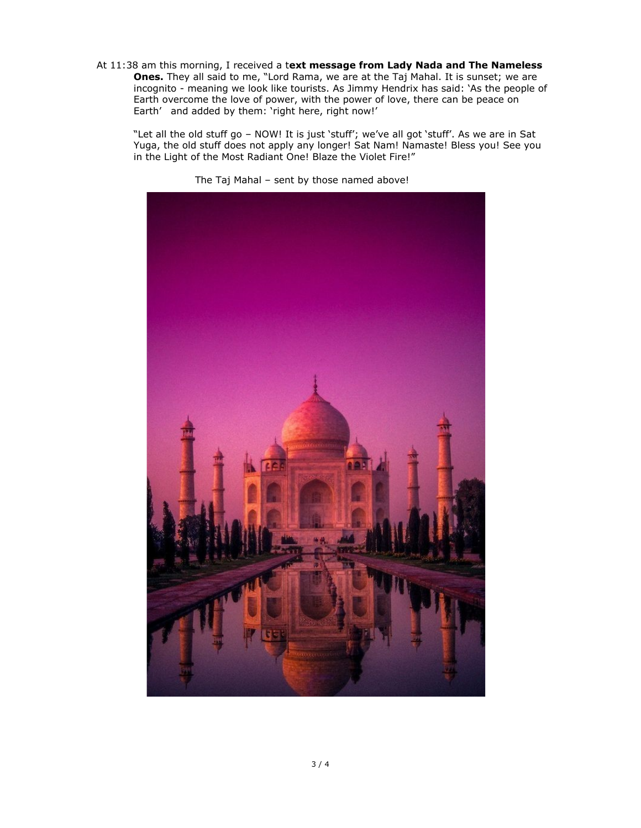At 11:38 am this morning, I received a t**ext message from Lady Nada and The Nameless Ones.** They all said to me, "Lord Rama, we are at the Taj Mahal. It is sunset; we are incognito - meaning we look like tourists. As Jimmy Hendrix has said: 'As the people of Earth overcome the love of power, with the power of love, there can be peace on Earth' and added by them: 'right here, right now!'

"Let all the old stuff go – NOW! It is just 'stuff'; we've all got 'stuff'. As we are in Sat Yuga, the old stuff does not apply any longer! Sat Nam! Namaste! Bless you! See you in the Light of the Most Radiant One! Blaze the Violet Fire!"



The Taj Mahal – sent by those named above!